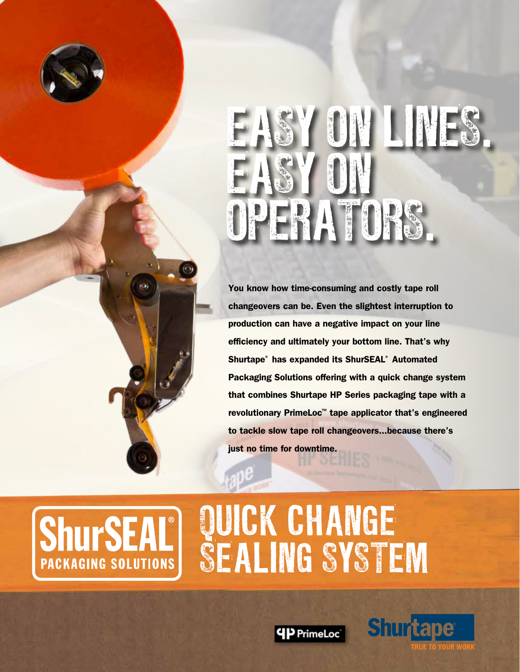# EASY ON LINES. EASY ON OPERATORS.

You know how time-consuming and costly tape roll changeovers can be. Even the slightest interruption to production can have a negative impact on your line efficiency and ultimately your bottom line. That's why Shurtape® has expanded its ShurSEAL® Automated Packaging Solutions offering with a quick change system that combines Shurtape HP Series packaging tape with a revolutionary PrimeLoc™ tape applicator that's engineered to tackle slow tape roll changeovers...because there's just no time for downtime.

### **ShurSEAI PACKAGING SOLUTIONS**

QUICK CHANGE SEALING SYSTEM

**4P PrimeLoc** 

Shurtape